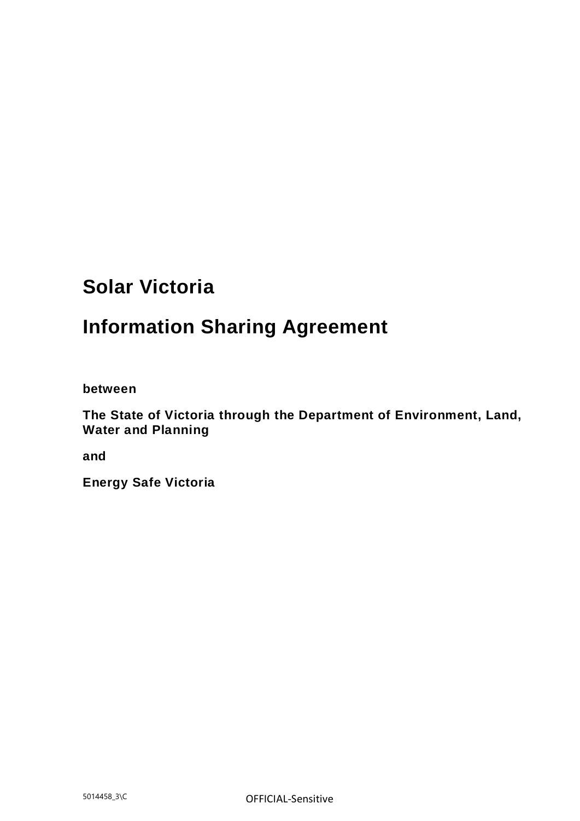# **Solar Victoria**

# **Information Sharing Agreement**

**between**

**The State of Victoria through the Department of Environment, Land, Water and Planning**

**and**

**Energy Safe Victoria**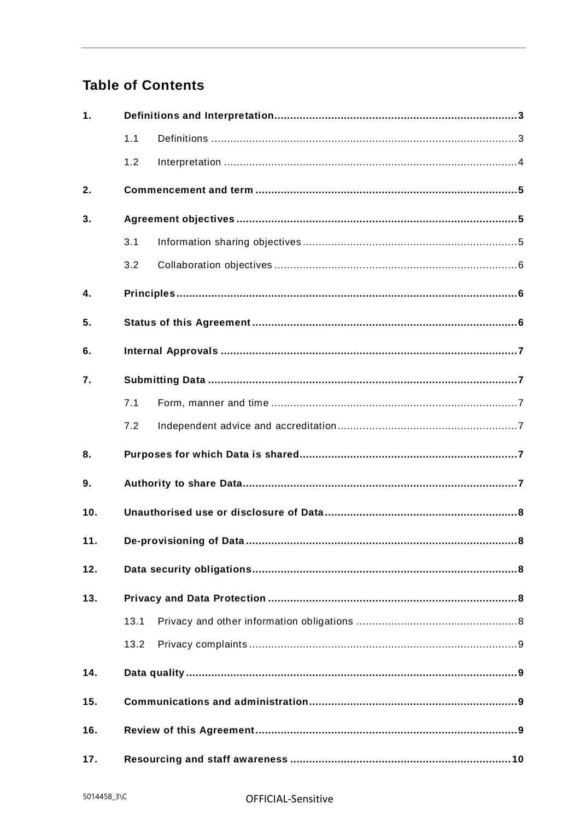## **Table of Contents**

| 1.             |      |  |  |  |  |
|----------------|------|--|--|--|--|
|                | 1.1  |  |  |  |  |
|                | 1.2  |  |  |  |  |
| 2.             |      |  |  |  |  |
| 3.             |      |  |  |  |  |
|                | 3.1  |  |  |  |  |
|                | 3.2  |  |  |  |  |
| $\mathbf{4}$ . |      |  |  |  |  |
| 5.             |      |  |  |  |  |
| 6.             |      |  |  |  |  |
| 7.             |      |  |  |  |  |
|                | 7.1  |  |  |  |  |
|                | 7.2  |  |  |  |  |
| 8.             |      |  |  |  |  |
| 9.             |      |  |  |  |  |
| 10.            |      |  |  |  |  |
| 11.            |      |  |  |  |  |
| 12.            |      |  |  |  |  |
| 13.            |      |  |  |  |  |
|                | 13.1 |  |  |  |  |
|                | 13.2 |  |  |  |  |
| 14.            |      |  |  |  |  |
| 15.            |      |  |  |  |  |
| 16.            |      |  |  |  |  |
| 17.            |      |  |  |  |  |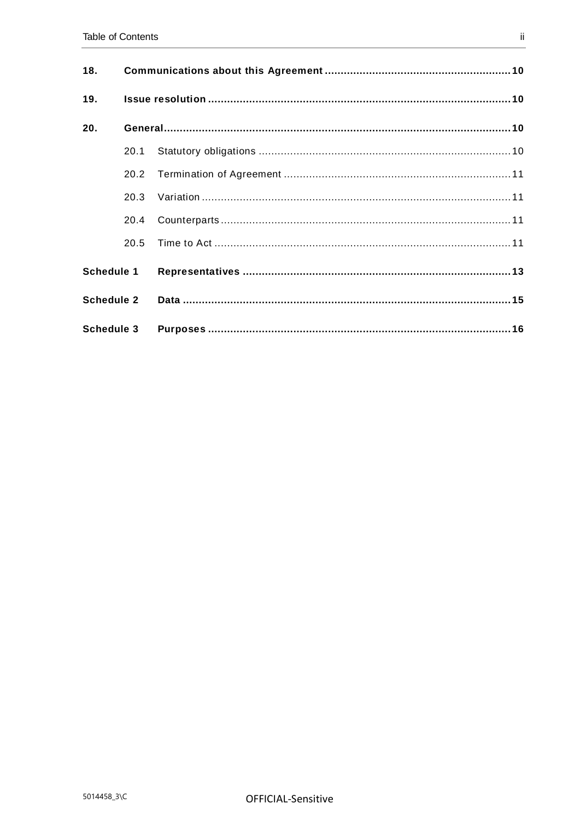| 18.               |      |  |  |
|-------------------|------|--|--|
| 19.               |      |  |  |
| 20.               |      |  |  |
|                   | 20.1 |  |  |
|                   | 20.2 |  |  |
|                   | 20.3 |  |  |
|                   | 20.4 |  |  |
|                   | 20.5 |  |  |
| <b>Schedule 1</b> |      |  |  |
| <b>Schedule 2</b> |      |  |  |
| Schedule 3        |      |  |  |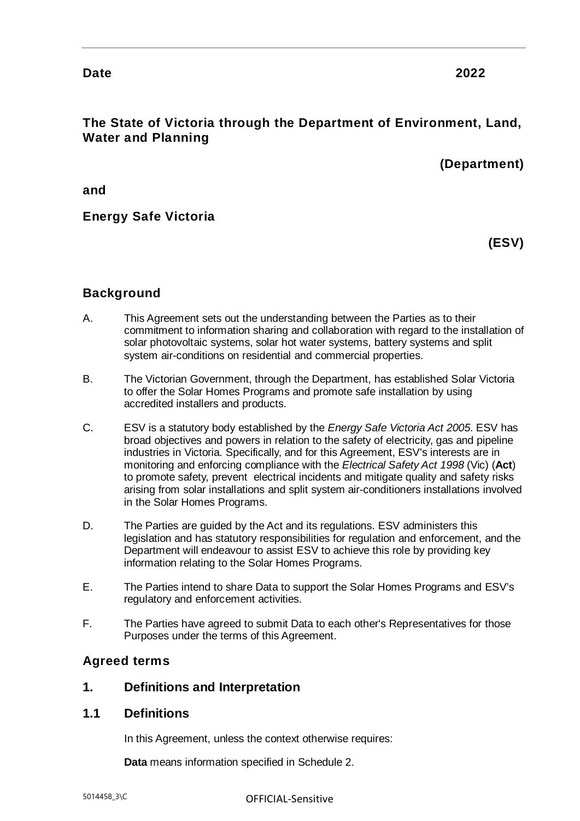## **Date 2022**

## **The State of Victoria through the Department of Environment, Land, Water and Planning**

## **(Department)**

**and**

## **Energy Safe Victoria**

**(ESV)**

## **Background**

- A. This Agreement sets out the understanding between the Parties as to their commitment to information sharing and collaboration with regard to the installation of solar photovoltaic systems, solar hot water systems, battery systems and split system air-conditions on residential and commercial properties.
- B. The Victorian Government, through the Department, has established Solar Victoria to offer the Solar Homes Programs and promote safe installation by using accredited installers and products.
- C. ESV is a statutory body established by the *Energy Safe Victoria Act 2005*. ESV has broad objectives and powers in relation to the safety of electricity, gas and pipeline industries in Victoria. Specifically, and for this Agreement, ESV's interests are in monitoring and enforcing compliance with the *Electrical Safety Act 1998* (Vic) (**Act**) to promote safety, prevent electrical incidents and mitigate quality and safety risks arising from solar installations and split system air-conditioners installations involved in the Solar Homes Programs.
- D. The Parties are guided by the Act and its regulations. ESV administers this legislation and has statutory responsibilities for regulation and enforcement, and the Department will endeavour to assist ESV to achieve this role by providing key information relating to the Solar Homes Programs.
- E. The Parties intend to share Data to support the Solar Homes Programs and ESV's regulatory and enforcement activities.
- F. The Parties have agreed to submit Data to each other's Representatives for those Purposes under the terms of this Agreement.

#### **Agreed terms**

#### <span id="page-3-0"></span>**1. Definitions and Interpretation**

#### <span id="page-3-1"></span>**1.1 Definitions**

In this Agreement, unless the context otherwise requires:

**Data** means information specified in Schedule 2.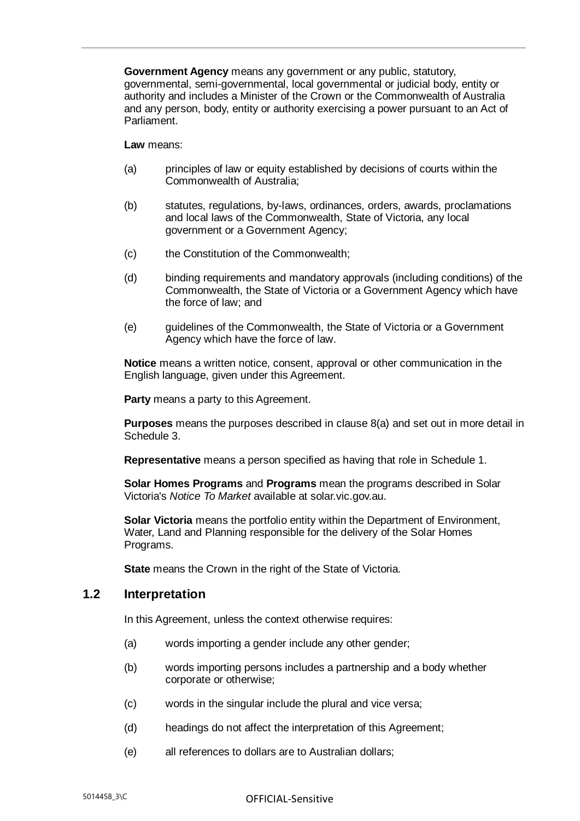**Government Agency** means any government or any public, statutory, governmental, semi-governmental, local governmental or judicial body, entity or authority and includes a Minister of the Crown or the Commonwealth of Australia and any person, body, entity or authority exercising a power pursuant to an Act of Parliament.

**Law** means:

- (a) principles of law or equity established by decisions of courts within the Commonwealth of Australia;
- (b) statutes, regulations, by-laws, ordinances, orders, awards, proclamations and local laws of the Commonwealth, State of Victoria, any local government or a Government Agency;
- (c) the Constitution of the Commonwealth;
- (d) binding requirements and mandatory approvals (including conditions) of the Commonwealth, the State of Victoria or a Government Agency which have the force of law; and
- (e) guidelines of the Commonwealth, the State of Victoria or a Government Agency which have the force of law.

**Notice** means a written notice, consent, approval or other communication in the English language, given under this Agreement.

**Party** means a party to this Agreement.

**Purposes** means the purposes described in clause [8\(a\)](#page-7-6) and set out in more detail in Schedule 3.

**Representative** means a person specified as having that role in [Schedule 1.](#page-13-0)

**Solar Homes Programs** and **Programs** mean the programs described in Solar Victoria's *Notice To Market* available at solar.vic.gov.au.

**Solar Victoria** means the portfolio entity within the Department of Environment, Water, Land and Planning responsible for the delivery of the Solar Homes Programs.

**State** means the Crown in the right of the State of Victoria.

#### <span id="page-4-0"></span>**1.2 Interpretation**

In this Agreement, unless the context otherwise requires:

- (a) words importing a gender include any other gender;
- (b) words importing persons includes a partnership and a body whether corporate or otherwise;
- (c) words in the singular include the plural and vice versa;
- (d) headings do not affect the interpretation of this Agreement;
- (e) all references to dollars are to Australian dollars;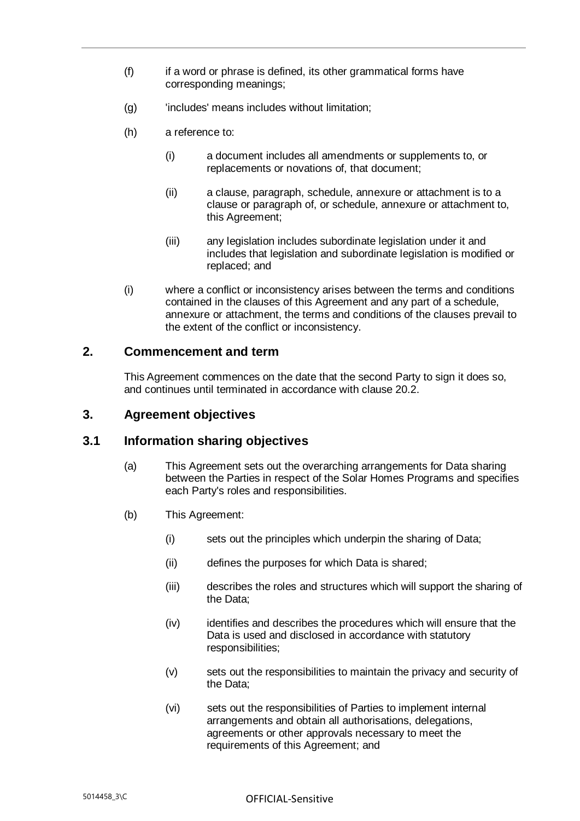- (f) if a word or phrase is defined, its other grammatical forms have corresponding meanings;
- (g) lincludes' means includes without limitation;
- (h) a reference to:
	- (i) a document includes all amendments or supplements to, or replacements or novations of, that document;
	- (ii) a clause, paragraph, schedule, annexure or attachment is to a clause or paragraph of, or schedule, annexure or attachment to, this Agreement;
	- (iii) any legislation includes subordinate legislation under it and includes that legislation and subordinate legislation is modified or replaced; and
- (i) where a conflict or inconsistency arises between the terms and conditions contained in the clauses of this Agreement and any part of a schedule, annexure or attachment, the terms and conditions of the clauses prevail to the extent of the conflict or inconsistency.

#### <span id="page-5-0"></span>**2. Commencement and term**

This Agreement commences on the date that the second Party to sign it does so, and continues until terminated in accordance with clause [20.2.](#page-11-0)

#### <span id="page-5-1"></span>**3. Agreement objectives**

#### <span id="page-5-2"></span>**3.1 Information sharing objectives**

- (a) This Agreement sets out the overarching arrangements for Data sharing between the Parties in respect of the Solar Homes Programs and specifies each Party's roles and responsibilities.
- (b) This Agreement:
	- (i) sets out the principles which underpin the sharing of Data;
	- (ii) defines the purposes for which Data is shared;
	- (iii) describes the roles and structures which will support the sharing of the Data;
	- (iv) identifies and describes the procedures which will ensure that the Data is used and disclosed in accordance with statutory responsibilities;
	- (v) sets out the responsibilities to maintain the privacy and security of the Data;
	- (vi) sets out the responsibilities of Parties to implement internal arrangements and obtain all authorisations, delegations, agreements or other approvals necessary to meet the requirements of this Agreement; and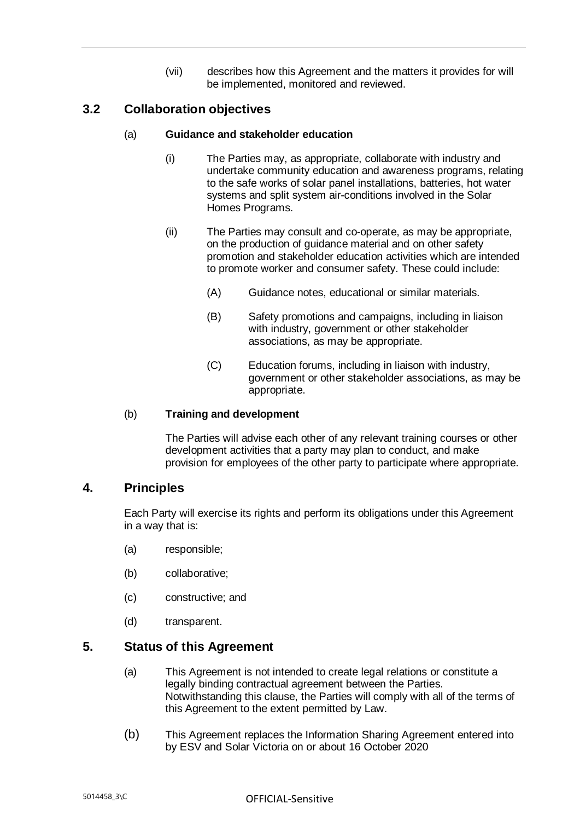(vii) describes how this Agreement and the matters it provides for will be implemented, monitored and reviewed.

## <span id="page-6-0"></span>**3.2 Collaboration objectives**

#### (a) **Guidance and stakeholder education**

- (i) The Parties may, as appropriate, collaborate with industry and undertake community education and awareness programs, relating to the safe works of solar panel installations, batteries, hot water systems and split system air-conditions involved in the Solar Homes Programs.
- (ii) The Parties may consult and co-operate, as may be appropriate, on the production of guidance material and on other safety promotion and stakeholder education activities which are intended to promote worker and consumer safety. These could include:
	- (A) Guidance notes, educational or similar materials.
	- (B) Safety promotions and campaigns, including in liaison with industry, government or other stakeholder associations, as may be appropriate.
	- (C) Education forums, including in liaison with industry, government or other stakeholder associations, as may be appropriate.

#### (b) **Training and development**

The Parties will advise each other of any relevant training courses or other development activities that a party may plan to conduct, and make provision for employees of the other party to participate where appropriate.

#### <span id="page-6-1"></span>**4. Principles**

Each Party will exercise its rights and perform its obligations under this Agreement in a way that is:

- (a) responsible;
- (b) collaborative;
- (c) constructive; and
- (d) transparent.

#### <span id="page-6-2"></span>**5. Status of this Agreement**

- (a) This Agreement is not intended to create legal relations or constitute a legally binding contractual agreement between the Parties. Notwithstanding this clause, the Parties will comply with all of the terms of this Agreement to the extent permitted by Law.
- (b) This Agreement replaces the Information Sharing Agreement entered into by ESV and Solar Victoria on or about 16 October 2020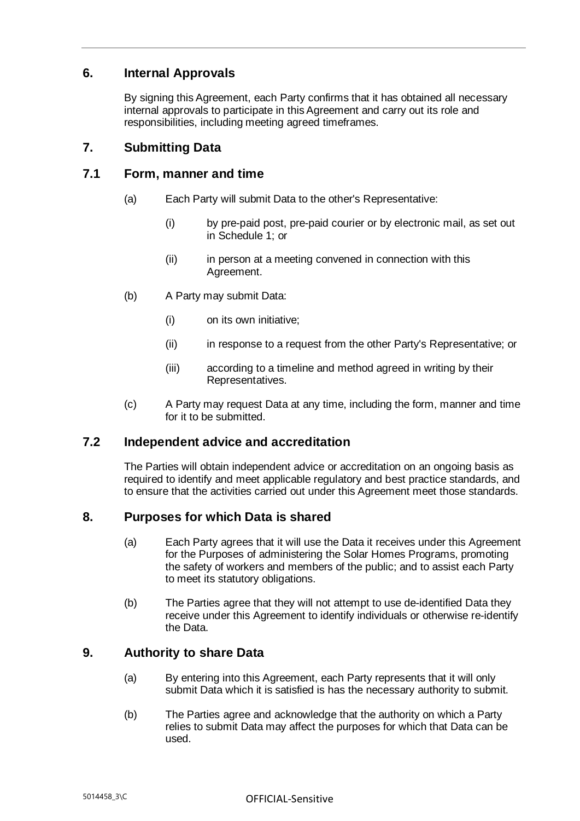## <span id="page-7-0"></span>**6. Internal Approvals**

By signing this Agreement, each Party confirms that it has obtained all necessary internal approvals to participate in this Agreement and carry out its role and responsibilities, including meeting agreed timeframes.

#### <span id="page-7-1"></span>**7. Submitting Data**

#### <span id="page-7-2"></span>**7.1 Form, manner and time**

- (a) Each Party will submit Data to the other's Representative:
	- (i) by pre-paid post, pre-paid courier or by electronic mail, as set out in [Schedule 1;](#page-13-0) or
	- (ii) in person at a meeting convened in connection with this Agreement.
- (b) A Party may submit Data:
	- (i) on its own initiative;
	- (ii) in response to a request from the other Party's Representative; or
	- (iii) according to a timeline and method agreed in writing by their Representatives.
- (c) A Party may request Data at any time, including the form, manner and time for it to be submitted.

#### <span id="page-7-3"></span>**7.2 Independent advice and accreditation**

The Parties will obtain independent advice or accreditation on an ongoing basis as required to identify and meet applicable regulatory and best practice standards, and to ensure that the activities carried out under this Agreement meet those standards.

#### <span id="page-7-6"></span><span id="page-7-4"></span>**8. Purposes for which Data is shared**

- (a) Each Party agrees that it will use the Data it receives under this Agreement for the Purposes of administering the Solar Homes Programs, promoting the safety of workers and members of the public; and to assist each Party to meet its statutory obligations.
- (b) The Parties agree that they will not attempt to use de-identified Data they receive under this Agreement to identify individuals or otherwise re-identify the Data.

#### <span id="page-7-5"></span>**9. Authority to share Data**

- (a) By entering into this Agreement, each Party represents that it will only submit Data which it is satisfied is has the necessary authority to submit.
- (b) The Parties agree and acknowledge that the authority on which a Party relies to submit Data may affect the purposes for which that Data can be used.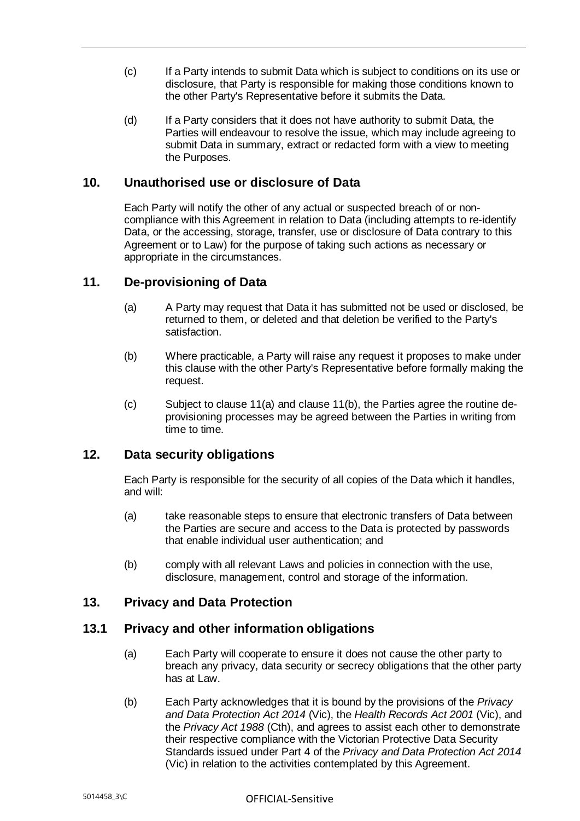- (c) If a Party intends to submit Data which is subject to conditions on its use or disclosure, that Party is responsible for making those conditions known to the other Party's Representative before it submits the Data.
- (d) If a Party considers that it does not have authority to submit Data, the Parties will endeavour to resolve the issue, which may include agreeing to submit Data in summary, extract or redacted form with a view to meeting the Purposes.

#### <span id="page-8-0"></span>**10. Unauthorised use or disclosure of Data**

Each Party will notify the other of any actual or suspected breach of or noncompliance with this Agreement in relation to Data (including attempts to re-identify Data, or the accessing, storage, transfer, use or disclosure of Data contrary to this Agreement or to Law) for the purpose of taking such actions as necessary or appropriate in the circumstances.

#### <span id="page-8-5"></span><span id="page-8-1"></span>**11. De-provisioning of Data**

- (a) A Party may request that Data it has submitted not be used or disclosed, be returned to them, or deleted and that deletion be verified to the Party's satisfaction.
- <span id="page-8-6"></span>(b) Where practicable, a Party will raise any request it proposes to make under this clause with the other Party's Representative before formally making the request.
- (c) Subject to clause [11\(a\)](#page-8-5) and clause [11\(b\),](#page-8-6) the Parties agree the routine deprovisioning processes may be agreed between the Parties in writing from time to time.

#### <span id="page-8-2"></span>**12. Data security obligations**

Each Party is responsible for the security of all copies of the Data which it handles, and will:

- (a) take reasonable steps to ensure that electronic transfers of Data between the Parties are secure and access to the Data is protected by passwords that enable individual user authentication; and
- (b) comply with all relevant Laws and policies in connection with the use, disclosure, management, control and storage of the information.

#### <span id="page-8-3"></span>**13. Privacy and Data Protection**

#### <span id="page-8-4"></span>**13.1 Privacy and other information obligations**

- (a) Each Party will cooperate to ensure it does not cause the other party to breach any privacy, data security or secrecy obligations that the other party has at Law.
- (b) Each Party acknowledges that it is bound by the provisions of the *Privacy and Data Protection Act 2014* (Vic), the *Health Records Act 2001* (Vic), and the *Privacy Act 1988* (Cth), and agrees to assist each other to demonstrate their respective compliance with the Victorian Protective Data Security Standards issued under Part 4 of the *Privacy and Data Protection Act 2014*  (Vic) in relation to the activities contemplated by this Agreement.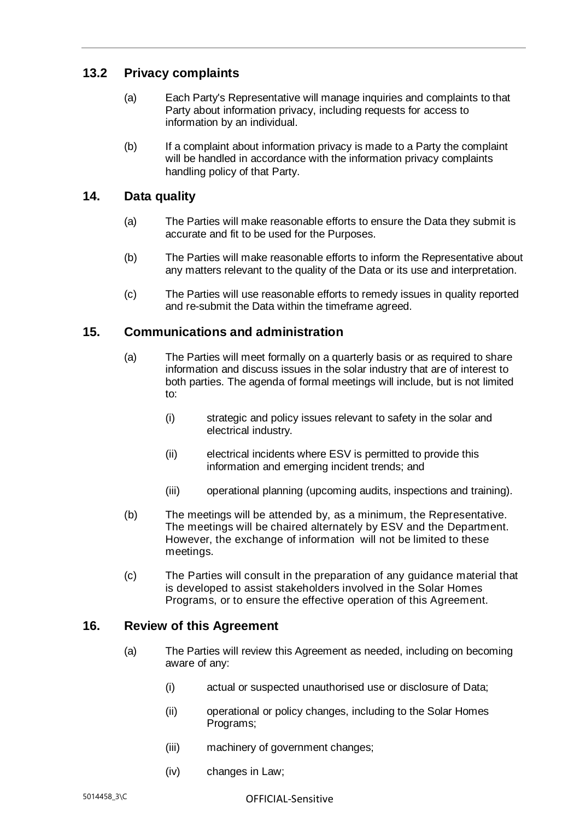## <span id="page-9-0"></span>**13.2 Privacy complaints**

- (a) Each Party's Representative will manage inquiries and complaints to that Party about information privacy, including requests for access to information by an individual.
- (b) If a complaint about information privacy is made to a Party the complaint will be handled in accordance with the information privacy complaints handling policy of that Party.

#### <span id="page-9-1"></span>**14. Data quality**

- (a) The Parties will make reasonable efforts to ensure the Data they submit is accurate and fit to be used for the Purposes.
- (b) The Parties will make reasonable efforts to inform the Representative about any matters relevant to the quality of the Data or its use and interpretation.
- (c) The Parties will use reasonable efforts to remedy issues in quality reported and re-submit the Data within the timeframe agreed.

#### <span id="page-9-2"></span>**15. Communications and administration**

- (a) The Parties will meet formally on a quarterly basis or as required to share information and discuss issues in the solar industry that are of interest to both parties. The agenda of formal meetings will include, but is not limited to:
	- (i) strategic and policy issues relevant to safety in the solar and electrical industry.
	- (ii) electrical incidents where ESV is permitted to provide this information and emerging incident trends; and
	- (iii) operational planning (upcoming audits, inspections and training).
- (b) The meetings will be attended by, as a minimum, the Representative. The meetings will be chaired alternately by ESV and the Department. However, the exchange of information will not be limited to these meetings.
- (c) The Parties will consult in the preparation of any guidance material that is developed to assist stakeholders involved in the Solar Homes Programs, or to ensure the effective operation of this Agreement.

#### <span id="page-9-3"></span>**16. Review of this Agreement**

- (a) The Parties will review this Agreement as needed, including on becoming aware of any:
	- (i) actual or suspected unauthorised use or disclosure of Data;
	- (ii) operational or policy changes, including to the Solar Homes Programs;
	- (iii) machinery of government changes;
	- (iv) changes in Law;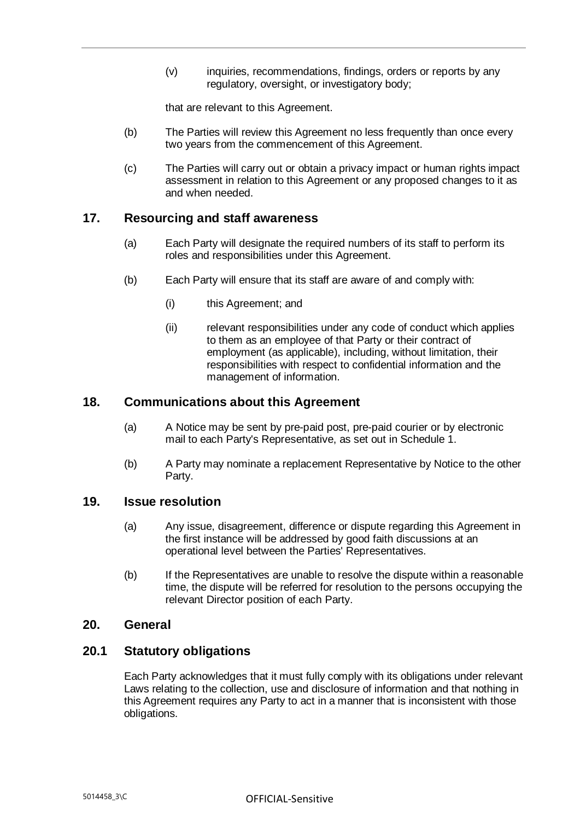(v) inquiries, recommendations, findings, orders or reports by any regulatory, oversight, or investigatory body;

that are relevant to this Agreement.

- (b) The Parties will review this Agreement no less frequently than once every two years from the commencement of this Agreement.
- (c) The Parties will carry out or obtain a privacy impact or human rights impact assessment in relation to this Agreement or any proposed changes to it as and when needed.

#### <span id="page-10-0"></span>**17. Resourcing and staff awareness**

- (a) Each Party will designate the required numbers of its staff to perform its roles and responsibilities under this Agreement.
- (b) Each Party will ensure that its staff are aware of and comply with:
	- (i) this Agreement; and
	- (ii) relevant responsibilities under any code of conduct which applies to them as an employee of that Party or their contract of employment (as applicable), including, without limitation, their responsibilities with respect to confidential information and the management of information.

#### <span id="page-10-1"></span>**18. Communications about this Agreement**

- (a) A Notice may be sent by pre-paid post, pre-paid courier or by electronic mail to each Party's Representative, as set out in [Schedule 1.](#page-13-0)
- (b) A Party may nominate a replacement Representative by Notice to the other Party.

#### <span id="page-10-2"></span>**19. Issue resolution**

- (a) Any issue, disagreement, difference or dispute regarding this Agreement in the first instance will be addressed by good faith discussions at an operational level between the Parties' Representatives.
- (b) If the Representatives are unable to resolve the dispute within a reasonable time, the dispute will be referred for resolution to the persons occupying the relevant Director position of each Party.

#### <span id="page-10-3"></span>**20. General**

#### <span id="page-10-4"></span>**20.1 Statutory obligations**

Each Party acknowledges that it must fully comply with its obligations under relevant Laws relating to the collection, use and disclosure of information and that nothing in this Agreement requires any Party to act in a manner that is inconsistent with those obligations.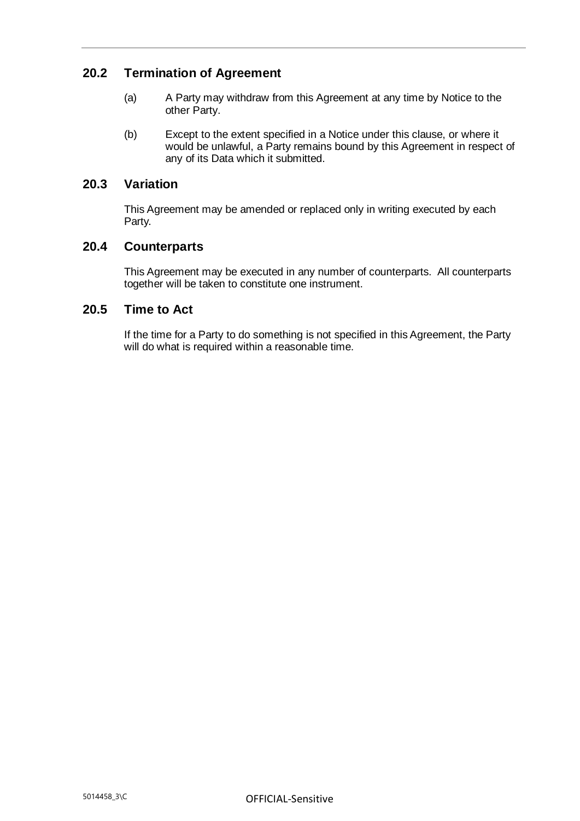## <span id="page-11-0"></span>**20.2 Termination of Agreement**

- (a) A Party may withdraw from this Agreement at any time by Notice to the other Party.
- (b) Except to the extent specified in a Notice under this clause, or where it would be unlawful, a Party remains bound by this Agreement in respect of any of its Data which it submitted.

#### <span id="page-11-1"></span>**20.3 Variation**

This Agreement may be amended or replaced only in writing executed by each Party.

#### <span id="page-11-2"></span>**20.4 Counterparts**

This Agreement may be executed in any number of counterparts. All counterparts together will be taken to constitute one instrument.

#### <span id="page-11-3"></span>**20.5 Time to Act**

If the time for a Party to do something is not specified in this Agreement, the Party will do what is required within a reasonable time.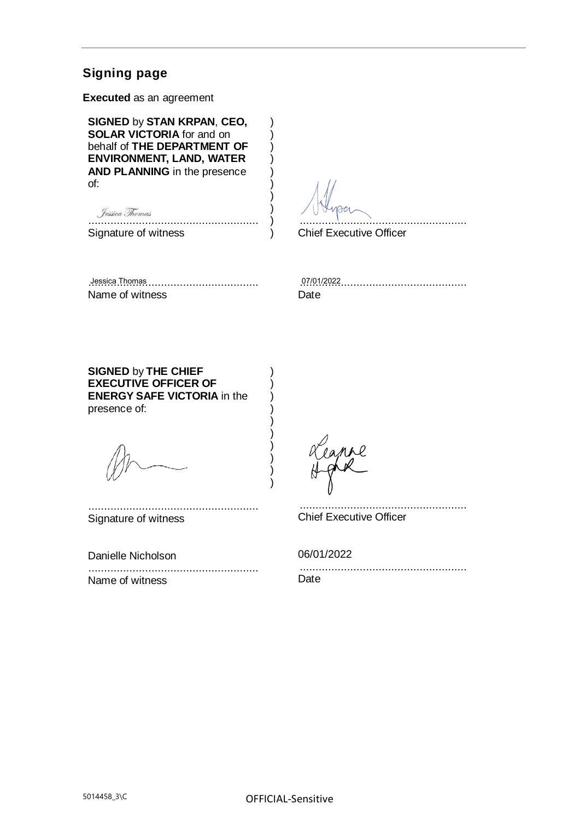## **Signing page**

**Executed** as an agreement

**SIGNED** by **STAN KRPAN**, **CEO, SOLAR VICTORIA** for and on behalf of **THE DEPARTMENT OF ENVIRONMENT, LAND, WATER AND PLANNING** in the presence of:

......................................................

Signature of witness

.....................................................

Chief Executive Officer

) ) ) ) ) ) ) ) )  $\lambda$ 

> ) ) ) ) ) ) ) ) ) )

...................................................... Jessica Thomas 07/01/2022Name of witness

..................................................... Date

**SIGNED** by **THE CHIEF EXECUTIVE OFFICER OF ENERGY SAFE VICTORIA** in the presence of:

...................................................... Signature of witness

Danielle Nicholson

...................................................... Name of witness

..................................................... Chief Executive Officer

06/01/2022

..................................................... Date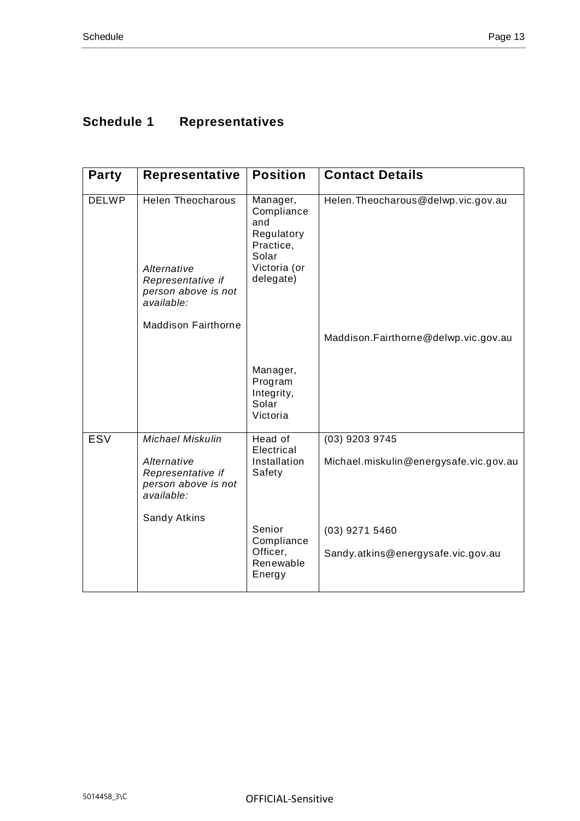## <span id="page-13-0"></span>**Schedule 1 Representatives**

| <b>Party</b> | Representative                                                                                    | <b>Position</b>                                                                                | <b>Contact Details</b>                                   |
|--------------|---------------------------------------------------------------------------------------------------|------------------------------------------------------------------------------------------------|----------------------------------------------------------|
| <b>DELWP</b> | <b>Helen Theocharous</b><br>Alternative<br>Representative if<br>person above is not<br>available: | Manager,<br>Compliance<br>and<br>Regulatory<br>Practice,<br>Solar<br>Victoria (or<br>delegate) | Helen. Theocharous@delwp.vic.gov.au                      |
|              | <b>Maddison Fairthorne</b>                                                                        |                                                                                                | Maddison.Fairthorne@delwp.vic.gov.au                     |
|              |                                                                                                   | Manager,<br>Program<br>Integrity,<br>Solar<br>Victoria                                         |                                                          |
| <b>ESV</b>   | <b>Michael Miskulin</b><br>Alternative<br>Representative if<br>person above is not<br>available:  | Head of<br>Electrical<br>Installation<br>Safety                                                | (03) 9203 9745<br>Michael.miskulin@energysafe.vic.gov.au |
|              | Sandy Atkins                                                                                      | Senior<br>Compliance<br>Officer,<br>Renewable<br>Energy                                        | (03) 9271 5460<br>Sandy.atkins@energysafe.vic.gov.au     |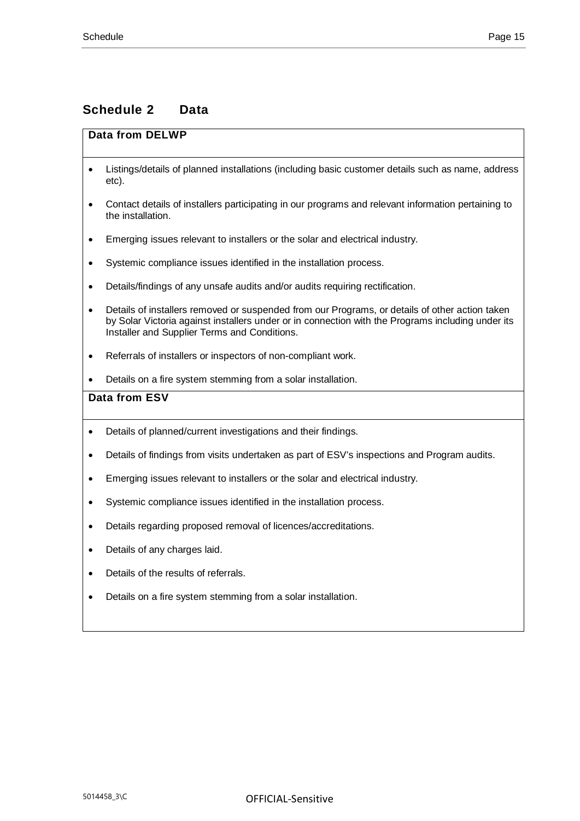## <span id="page-15-0"></span>**Schedule 2 Data**

#### **Data from DELWP**

- Listings/details of planned installations (including basic customer details such as name, address etc).
- Contact details of installers participating in our programs and relevant information pertaining to the installation.
- Emerging issues relevant to installers or the solar and electrical industry.
- Systemic compliance issues identified in the installation process.
- Details/findings of any unsafe audits and/or audits requiring rectification.
- Details of installers removed or suspended from our Programs, or details of other action taken by Solar Victoria against installers under or in connection with the Programs including under its Installer and Supplier Terms and Conditions.
- Referrals of installers or inspectors of non-compliant work.
- Details on a fire system stemming from a solar installation.

#### **Data from ESV**

- Details of planned/current investigations and their findings.
- Details of findings from visits undertaken as part of ESV's inspections and Program audits.
- Emerging issues relevant to installers or the solar and electrical industry.
- Systemic compliance issues identified in the installation process.
- Details regarding proposed removal of licences/accreditations.
- Details of any charges laid.
- Details of the results of referrals
- Details on a fire system stemming from a solar installation.